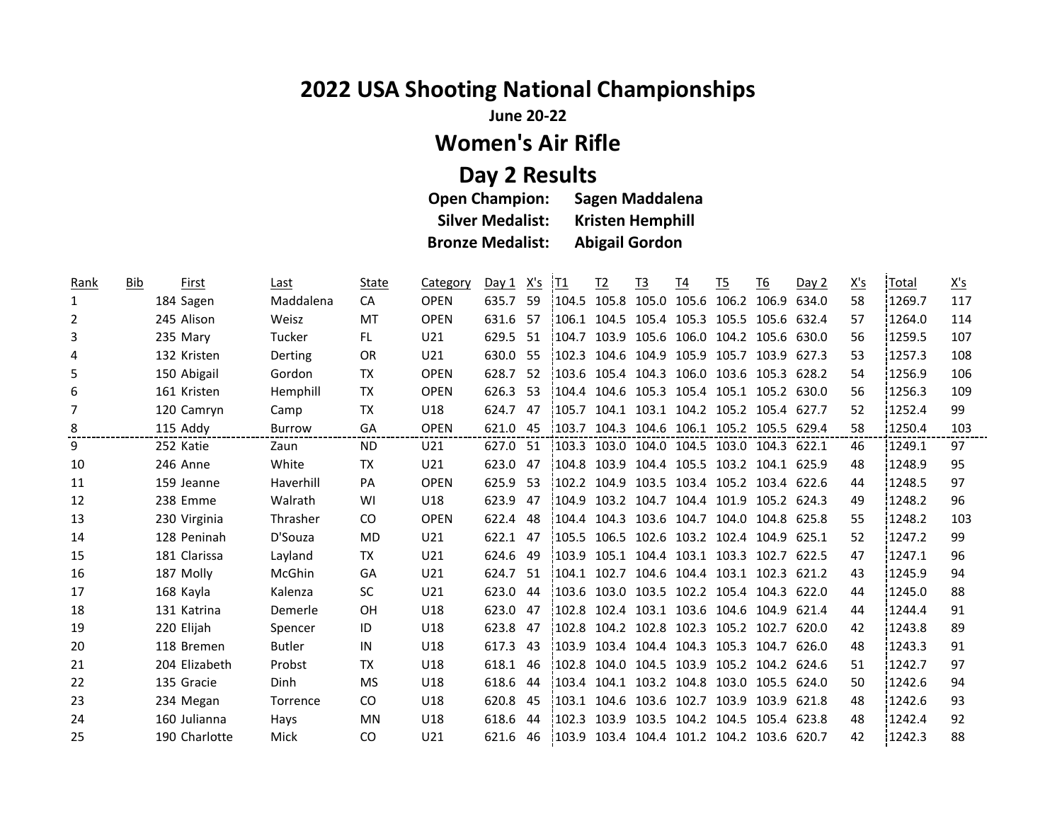## **2022 USA Shooting National Championships**

**June 20-22**

## **Women's Air Rifle**

## **Day 2 Results**

| <b>Open Champion:</b>   | <b>Sagen Maddalena</b>  |
|-------------------------|-------------------------|
| <b>Silver Medalist:</b> | <b>Kristen Hemphill</b> |
| <b>Bronze Medalist:</b> | <b>Abigail Gordon</b>   |

| Rank | Bib | First         | Last          | State     | Category        | Day 1 | X's | <u> T1</u> | <u>T<sub>2</sub></u> | <u>T3</u>   | <u>T4</u> | <u>T5</u>                                  | <u>T6</u> | Day 2 | <u>X's</u> | Total   | <u>X's</u> |
|------|-----|---------------|---------------|-----------|-----------------|-------|-----|------------|----------------------|-------------|-----------|--------------------------------------------|-----------|-------|------------|---------|------------|
| 1    |     | 184 Sagen     | Maddalena     | CA        | <b>OPEN</b>     | 635.7 | 59  | 104.5      |                      |             |           | 105.8 105.0 105.6 106.2 106.9              |           | 634.0 | 58         | 1269.7  | 117        |
| 2    |     | 245 Alison    | Weisz         | MT        | <b>OPEN</b>     | 631.6 | -57 | 106.1      |                      |             |           | 104.5 105.4 105.3 105.5 105.6 632.4        |           |       | 57         | 1264.0  | 114        |
| 3    |     | 235 Mary      | <b>Tucker</b> | FL.       | U21             | 629.5 | 51  | 104.7      |                      |             |           | 103.9 105.6 106.0 104.2 105.6 630.0        |           |       | 56         | 1259.5  | 107        |
| 4    |     | 132 Kristen   | Derting       | OR.       | U21             | 630.0 | 55  | 102.3      |                      |             |           | 104.6 104.9 105.9 105.7 103.9 627.3        |           |       | 53         | :1257.3 | 108        |
| 5    |     | 150 Abigail   | Gordon        | TX        | <b>OPEN</b>     | 628.7 | 52  |            |                      |             |           | 103.6 105.4 104.3 106.0 103.6 105.3 628.2  |           |       | 54         | 1256.9  | 106        |
| 6    |     | 161 Kristen   | Hemphill      | TX        | <b>OPEN</b>     | 626.3 | -53 | 104.4      |                      |             |           | 104.6 105.3 105.4 105.1 105.2 630.0        |           |       | 56         | 1256.3  | 109        |
| 7    |     | 120 Camryn    | Camp          | TX        | U18             | 624.7 | 47  |            |                      |             |           | 105.7 104.1 103.1 104.2 105.2 105.4 627.7  |           |       | 52         | 1252.4  | 99         |
| 8    |     | 115 Addy      | <b>Burrow</b> | GA        | <b>OPEN</b>     | 621.0 | 45  | 103.7      |                      |             |           | 104.3 104.6 106.1 105.2 105.5 629.4        |           |       | 58         | 1250.4  | 103        |
| 9    |     | 252 Katie     | Zaun          | <b>ND</b> | U21             | 627.0 | 51  |            |                      |             |           | 103.3 103.0 104.0 104.5 103.0 104.3 622.1  |           |       | 46         | 1249.1  | 97         |
| 10   |     | 246 Anne      | White         | TX        | U21             | 623.0 | 47  |            |                      |             |           | 104.8 103.9 104.4 105.5 103.2 104.1 625.9  |           |       | 48         | 1248.9  | 95         |
| 11   |     | 159 Jeanne    | Haverhill     | PA        | <b>OPEN</b>     | 625.9 | 53  |            |                      |             |           | 102.2 104.9 103.5 103.4 105.2 103.4 622.6  |           |       | 44         | 1248.5  | 97         |
| 12   |     | 238 Emme      | Walrath       | WI        | U18             | 623.9 | 47  | 104.9      |                      |             |           | 103.2 104.7 104.4 101.9 105.2 624.3        |           |       | 49         | 1248.2  | 96         |
| 13   |     | 230 Virginia  | Thrasher      | CO.       | <b>OPEN</b>     | 622.4 | 48  | 104.4      |                      |             |           | 104.3 103.6 104.7 104.0 104.8 625.8        |           |       | 55         | 1248.2  | 103        |
| 14   |     | 128 Peninah   | D'Souza       | MD        | U21             | 622.1 | 47  |            |                      |             |           | 105.5 106.5 102.6 103.2 102.4 104.9 625.1  |           |       | 52         | 1247.2  | 99         |
| 15   |     | 181 Clarissa  | Layland       | TX        | U21             | 624.6 | 49  | 103.9      |                      |             |           | 105.1 104.4 103.1 103.3 102.7 622.5        |           |       | 47         | 1247.1  | 96         |
| 16   |     | 187 Molly     | McGhin        | GA        | U <sub>21</sub> | 624.7 | -51 |            |                      |             |           | 1104.1 102.7 104.6 104.4 103.1 102.3 621.2 |           |       | 43         | 1245.9  | 94         |
| 17   |     | 168 Kayla     | Kalenza       | SC        | U21             | 623.0 | 44  |            |                      |             |           | 103.6 103.0 103.5 102.2 105.4 104.3 622.0  |           |       | 44         | 1245.0  | 88         |
| 18   |     | 131 Katrina   | Demerle       | <b>OH</b> | U18             | 623.0 | 47  | 102.8      |                      |             |           | 102.4 103.1 103.6 104.6 104.9              |           | 621.4 | 44         | 1244.4  | 91         |
| 19   |     | 220 Elijah    | Spencer       | ID        | U18             | 623.8 | 47  | 102.8      |                      |             |           | 104.2 102.8 102.3 105.2 102.7 620.0        |           |       | 42         | 1243.8  | 89         |
| 20   |     | 118 Bremen    | <b>Butler</b> | IN        | U18             | 617.3 | 43  | 103.9      |                      |             |           | 103.4 104.4 104.3 105.3 104.7 626.0        |           |       | 48         | 1243.3  | 91         |
| 21   |     | 204 Elizabeth | Probst        | <b>TX</b> | U18             | 618.1 | 46  | 102.8      |                      |             |           | 104.0 104.5 103.9 105.2 104.2 624.6        |           |       | 51         | 1242.7  | 97         |
| 22   |     | 135 Gracie    | Dinh          | <b>MS</b> | U18             | 618.6 | 44  | 103.4      |                      |             |           | 104.1 103.2 104.8 103.0 105.5 624.0        |           |       | 50         | 1242.6  | 94         |
| 23   |     | 234 Megan     | Torrence      | CO.       | U18             | 620.8 | 45  | 103.1      | 104.6                | 103.6 102.7 |           | 103.9                                      | 103.9     | 621.8 | 48         | 1242.6  | 93         |
| 24   |     | 160 Julianna  | Hays          | <b>MN</b> | U18             | 618.6 | 44  | 102.3      |                      |             |           | 103.9 103.5 104.2 104.5 105.4 623.8        |           |       | 48         | 1242.4  | 92         |
| 25   |     | 190 Charlotte | Mick          | CO.       | U <sub>21</sub> | 621.6 | 46  | 103.9      |                      |             |           | 103.4 104.4 101.2 104.2 103.6 620.7        |           |       | 42         | 1242.3  | 88         |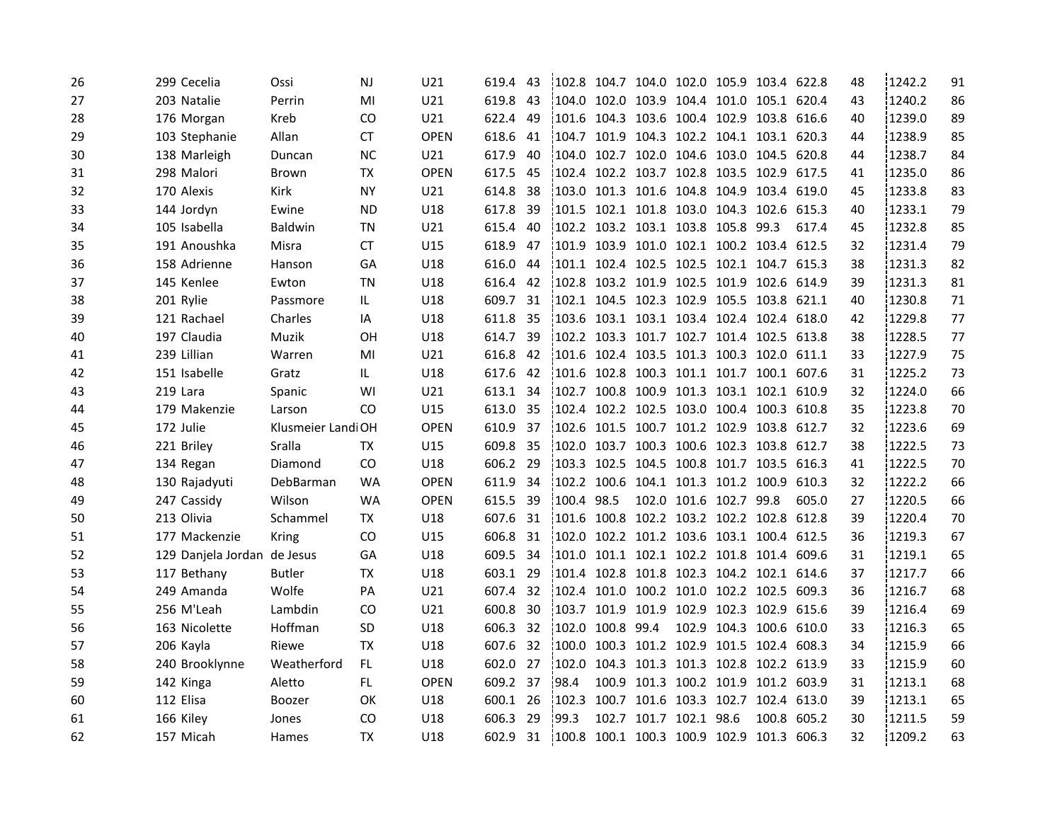| 26 | 299 Cecelia                 | Ossi               | <b>NJ</b> | U21         | 619.4    | 43  | 102.8                                     |            |                                      | 104.7 104.0 102.0 105.9 103.4 622.8        |       | 48 | 1242.2 | 91 |
|----|-----------------------------|--------------------|-----------|-------------|----------|-----|-------------------------------------------|------------|--------------------------------------|--------------------------------------------|-------|----|--------|----|
| 27 | 203 Natalie                 | Perrin             | MI        | U21         | 619.8    | 43  | 104.0 102.0 103.9 104.4 101.0 105.1 620.4 |            |                                      |                                            |       | 43 | 1240.2 | 86 |
| 28 | 176 Morgan                  | Kreb               | CO        | U21         | 622.4    | 49  | 101.6 104.3 103.6 100.4 102.9 103.8 616.6 |            |                                      |                                            |       | 40 | 1239.0 | 89 |
| 29 | 103 Stephanie               | Allan              | <b>CT</b> | <b>OPEN</b> | 618.6    | 41  | 104.7 101.9 104.3 102.2 104.1 103.1 620.3 |            |                                      |                                            |       | 44 | 1238.9 | 85 |
| 30 | 138 Marleigh                | Duncan             | <b>NC</b> | U21         | 617.9    | 40  | 104.0 102.7 102.0 104.6 103.0 104.5 620.8 |            |                                      |                                            |       | 44 | 1238.7 | 84 |
| 31 | 298 Malori                  | Brown              | TX        | <b>OPEN</b> | 617.5    | 45  | 102.4 102.2 103.7 102.8 103.5 102.9 617.5 |            |                                      |                                            |       | 41 | 1235.0 | 86 |
| 32 | 170 Alexis                  | Kirk               | ΝY        | U21         | 614.8    | 38  | 103.0 101.3 101.6 104.8 104.9 103.4 619.0 |            |                                      |                                            |       | 45 | 1233.8 | 83 |
| 33 | 144 Jordyn                  | Ewine              | <b>ND</b> | U18         | 617.8    | 39  | 101.5 102.1 101.8 103.0 104.3 102.6 615.3 |            |                                      |                                            |       | 40 | 1233.1 | 79 |
| 34 | 105 Isabella                | Baldwin            | TN        | U21         | 615.4    | 40  | 102.2 103.2 103.1 103.8 105.8 99.3        |            |                                      |                                            | 617.4 | 45 | 1232.8 | 85 |
| 35 | 191 Anoushka                | Misra              | СT        | U15         | 618.9    | 47  | 101.9 103.9 101.0 102.1 100.2 103.4       |            |                                      |                                            | 612.5 | 32 | 1231.4 | 79 |
| 36 | 158 Adrienne                | Hanson             | GA        | U18         | 616.0    | 44  |                                           |            |                                      | 101.1 102.4 102.5 102.5 102.1 104.7 615.3  |       | 38 | 1231.3 | 82 |
| 37 | 145 Kenlee                  | Ewton              | <b>TN</b> | U18         | 616.4    | 42  | 102.8 103.2 101.9 102.5 101.9 102.6       |            |                                      |                                            | 614.9 | 39 | 1231.3 | 81 |
| 38 | 201 Rylie                   | Passmore           | IL        | U18         | 609.7    | -31 |                                           |            |                                      | 102.1 104.5 102.3 102.9 105.5 103.8 621.1  |       | 40 | 1230.8 | 71 |
| 39 | 121 Rachael                 | Charles            | ΙA        | U18         | 611.8    | 35  |                                           |            | !103.6 103.1 103.1 103.4 102.4 102.4 |                                            | 618.0 | 42 | 1229.8 | 77 |
| 40 | 197 Claudia                 | Muzik              | OΗ        | U18         | 614.7    | 39  |                                           |            |                                      | !102.2 103.3 101.7 102.7 101.4 102.5 613.8 |       | 38 | 1228.5 | 77 |
| 41 | 239 Lillian                 | Warren             | MI        | U21         | 616.8    | 42  |                                           |            | 101.6 102.4 103.5 101.3 100.3 102.0  |                                            | 611.1 | 33 | 1227.9 | 75 |
| 42 | 151 Isabelle                | Gratz              | IL.       | U18         | 617.6    | -42 |                                           |            |                                      | 101.6 102.8 100.3 101.1 101.7 100.1 607.6  |       | 31 | 1225.2 | 73 |
| 43 | 219 Lara                    | Spanic             | WI        | U21         | 613.1 34 |     |                                           |            |                                      | !102.7 100.8 100.9 101.3 103.1 102.1 610.9 |       | 32 | 1224.0 | 66 |
| 44 | 179 Makenzie                | Larson             | CO.       | U15         | 613.0 35 |     |                                           |            | 102.4 102.2 102.5 103.0 100.4 100.3  |                                            | 610.8 | 35 | 1223.8 | 70 |
| 45 | 172 Julie                   | Klusmeier Landi OH |           | <b>OPEN</b> | 610.9 37 |     |                                           |            |                                      | 102.6 101.5 100.7 101.2 102.9 103.8 612.7  |       | 32 | 1223.6 | 69 |
| 46 | 221 Briley                  | Sralla             | TX        | U15         | 609.8    | 35  |                                           |            |                                      | 102.0 103.7 100.3 100.6 102.3 103.8 612.7  |       | 38 | 1222.5 | 73 |
| 47 | 134 Regan                   | Diamond            | CO.       | U18         | 606.2 29 |     |                                           |            |                                      | 103.3 102.5 104.5 100.8 101.7 103.5 616.3  |       | 41 | 1222.5 | 70 |
| 48 | 130 Rajadyuti               | DebBarman          | <b>WA</b> | <b>OPEN</b> | 611.9    | 34  |                                           |            | 102.2 100.6 104.1 101.3 101.2 100.9  |                                            | 610.3 | 32 | 1222.2 | 66 |
| 49 | 247 Cassidy                 | Wilson             | <b>WA</b> | <b>OPEN</b> | 615.5 39 |     | 100.4 98.5                                |            | 102.0 101.6 102.7 99.8               |                                            | 605.0 | 27 | 1220.5 | 66 |
| 50 | 213 Olivia                  | Schammel           | TX        | U18         | 607.6 31 |     |                                           |            |                                      | 101.6 100.8 102.2 103.2 102.2 102.8 612.8  |       | 39 | 1220.4 | 70 |
| 51 | 177 Mackenzie               | Kring              | CO.       | U15         | 606.8    | 31  |                                           |            | !102.0 102.2 101.2 103.6 103.1 100.4 |                                            | 612.5 | 36 | 1219.3 | 67 |
| 52 | 129 Danjela Jordan de Jesus |                    | GA        | U18         | 609.5    | 34  |                                           |            | 101.0 101.1 102.1 102.2 101.8 101.4  |                                            | 609.6 | 31 | 1219.1 | 65 |
| 53 | 117 Bethany                 | <b>Butler</b>      | TX        | U18         | 603.1 29 |     |                                           |            |                                      | 101.4 102.8 101.8 102.3 104.2 102.1 614.6  |       | 37 | 1217.7 | 66 |
| 54 | 249 Amanda                  | Wolfe              | PA        | U21         | 607.4    | 32  |                                           |            | 102.4 101.0 100.2 101.0 102.2 102.5  |                                            | 609.3 | 36 | 1216.7 | 68 |
| 55 | 256 M'Leah                  | Lambdin            | CO        | U21         | 600.8    | 30  | 103.7 101.9 101.9 102.9 102.3 102.9       |            |                                      |                                            | 615.6 | 39 | 1216.4 | 69 |
| 56 | 163 Nicolette               | Hoffman            | <b>SD</b> | U18         | 606.3    | 32  | 102.0                                     | 100.8 99.4 |                                      | 102.9 104.3 100.6                          | 610.0 | 33 | 1216.3 | 65 |
| 57 | 206 Kayla                   | Riewe              | <b>TX</b> | U18         | 607.6    | 32  | 1100.0                                    |            | 100.3 101.2 102.9 101.5 102.4        |                                            | 608.3 | 34 | 1215.9 | 66 |
| 58 | 240 Brooklynne              | Weatherford        | FL.       | U18         | 602.0    | 27  | 102.0                                     |            |                                      | 104.3 101.3 101.3 102.8 102.2 613.9        |       | 33 | 1215.9 | 60 |
| 59 | 142 Kinga                   | Aletto             | FL.       | <b>OPEN</b> | 609.2    | 37  | 98.4                                      |            |                                      | 100.9 101.3 100.2 101.9 101.2 603.9        |       | 31 | 1213.1 | 68 |
| 60 | 112 Elisa                   | <b>Boozer</b>      | 0K        | U18         | 600.1    | 26  | 102.3                                     |            | 100.7 101.6 103.3 102.7 102.4        |                                            | 613.0 | 39 | 1213.1 | 65 |
| 61 | 166 Kiley                   | Jones              | CO.       | U18         | 606.3    | 29  | 199.3                                     |            | 102.7 101.7 102.1 98.6               | 100.8                                      | 605.2 | 30 | 1211.5 | 59 |
| 62 | 157 Micah                   | Hames              | ТX        | U18         | 602.9    | -31 | 100.8                                     |            |                                      | 100.1 100.3 100.9 102.9 101.3 606.3        |       | 32 | 1209.2 | 63 |
|    |                             |                    |           |             |          |     |                                           |            |                                      |                                            |       |    |        |    |